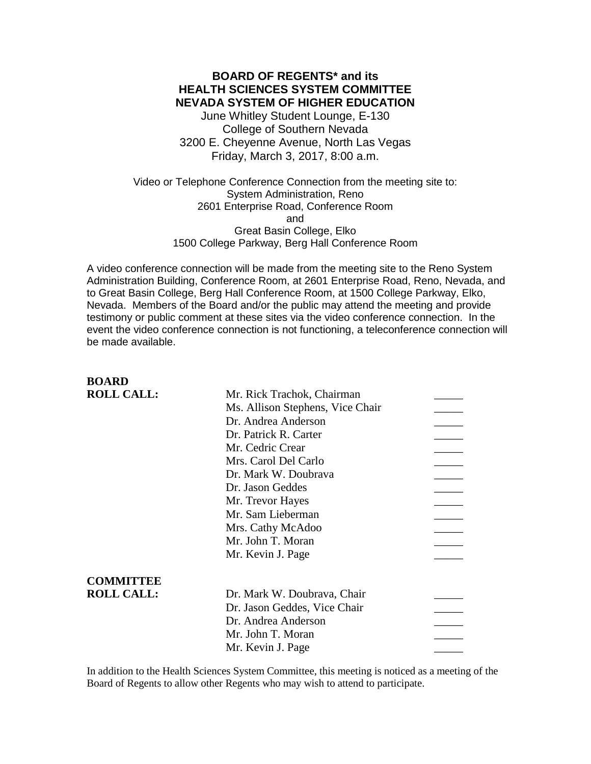**BOARD OF REGENTS\* and its HEALTH SCIENCES SYSTEM COMMITTEE NEVADA SYSTEM OF HIGHER EDUCATION** June Whitley Student Lounge, E-130 College of Southern Nevada 3200 E. Cheyenne Avenue, North Las Vegas Friday, March 3, 2017, 8:00 a.m.

Video or Telephone Conference Connection from the meeting site to: System Administration, Reno 2601 Enterprise Road, Conference Room and Great Basin College, Elko 1500 College Parkway, Berg Hall Conference Room

A video conference connection will be made from the meeting site to the Reno System Administration Building, Conference Room, at 2601 Enterprise Road, Reno, Nevada, and to Great Basin College, Berg Hall Conference Room, at 1500 College Parkway, Elko, Nevada. Members of the Board and/or the public may attend the meeting and provide testimony or public comment at these sites via the video conference connection. In the event the video conference connection is not functioning, a teleconference connection will be made available.

| BUARD             |                                  |  |
|-------------------|----------------------------------|--|
| <b>ROLL CALL:</b> | Mr. Rick Trachok, Chairman       |  |
|                   | Ms. Allison Stephens, Vice Chair |  |
|                   | Dr. Andrea Anderson              |  |
|                   | Dr. Patrick R. Carter            |  |
|                   | Mr. Cedric Crear                 |  |
|                   | Mrs. Carol Del Carlo             |  |
|                   | Dr. Mark W. Doubrava             |  |
|                   | Dr. Jason Geddes                 |  |
|                   | Mr. Trevor Hayes                 |  |
|                   | Mr. Sam Lieberman                |  |
|                   | Mrs. Cathy McAdoo                |  |
|                   | Mr. John T. Moran                |  |
|                   | Mr. Kevin J. Page                |  |
|                   |                                  |  |
| <b>COMMITTEE</b>  |                                  |  |
| <b>ROLL CALL:</b> | Dr. Mark W. Doubrava, Chair      |  |
|                   | Dr. Jason Geddes, Vice Chair     |  |
|                   | Dr. Andrea Anderson              |  |
|                   | Mr. John T. Moran                |  |
|                   | Mr. Kevin J. Page                |  |

**BOARD**

In addition to the Health Sciences System Committee, this meeting is noticed as a meeting of the Board of Regents to allow other Regents who may wish to attend to participate.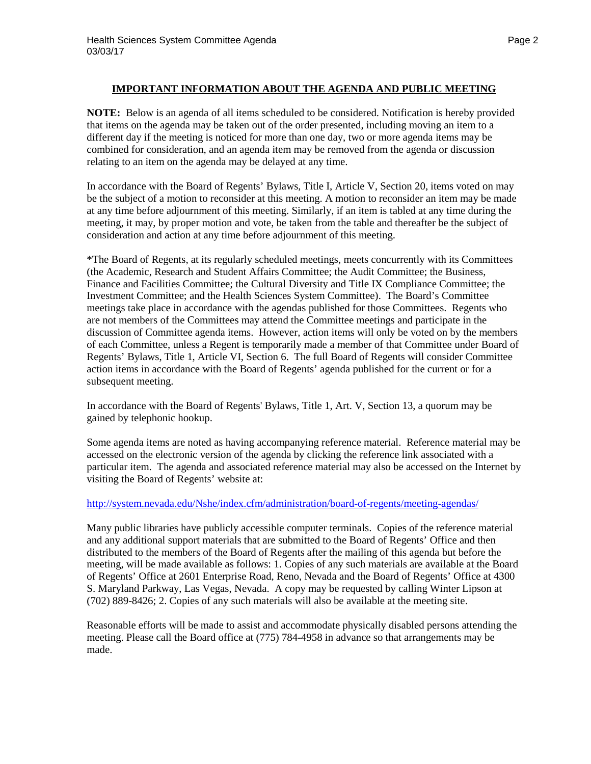### **IMPORTANT INFORMATION ABOUT THE AGENDA AND PUBLIC MEETING**

**NOTE:** Below is an agenda of all items scheduled to be considered. Notification is hereby provided that items on the agenda may be taken out of the order presented, including moving an item to a different day if the meeting is noticed for more than one day, two or more agenda items may be combined for consideration, and an agenda item may be removed from the agenda or discussion relating to an item on the agenda may be delayed at any time.

In accordance with the Board of Regents' Bylaws, Title I, Article V, Section 20, items voted on may be the subject of a motion to reconsider at this meeting. A motion to reconsider an item may be made at any time before adjournment of this meeting. Similarly, if an item is tabled at any time during the meeting, it may, by proper motion and vote, be taken from the table and thereafter be the subject of consideration and action at any time before adjournment of this meeting.

\*The Board of Regents, at its regularly scheduled meetings, meets concurrently with its Committees (the Academic, Research and Student Affairs Committee; the Audit Committee; the Business, Finance and Facilities Committee; the Cultural Diversity and Title IX Compliance Committee; the Investment Committee; and the Health Sciences System Committee). The Board's Committee meetings take place in accordance with the agendas published for those Committees. Regents who are not members of the Committees may attend the Committee meetings and participate in the discussion of Committee agenda items. However, action items will only be voted on by the members of each Committee, unless a Regent is temporarily made a member of that Committee under Board of Regents' Bylaws, Title 1, Article VI, Section 6. The full Board of Regents will consider Committee action items in accordance with the Board of Regents' agenda published for the current or for a subsequent meeting.

In accordance with the Board of Regents' Bylaws, Title 1, Art. V, Section 13, a quorum may be gained by telephonic hookup.

Some agenda items are noted as having accompanying reference material. Reference material may be accessed on the electronic version of the agenda by clicking the reference link associated with a particular item. The agenda and associated reference material may also be accessed on the Internet by visiting the Board of Regents' website at:

### <http://system.nevada.edu/Nshe/index.cfm/administration/board-of-regents/meeting-agendas/>

Many public libraries have publicly accessible computer terminals. Copies of the reference material and any additional support materials that are submitted to the Board of Regents' Office and then distributed to the members of the Board of Regents after the mailing of this agenda but before the meeting, will be made available as follows: 1. Copies of any such materials are available at the Board of Regents' Office at 2601 Enterprise Road, Reno, Nevada and the Board of Regents' Office at 4300 S. Maryland Parkway, Las Vegas, Nevada. A copy may be requested by calling Winter Lipson at (702) 889-8426; 2. Copies of any such materials will also be available at the meeting site.

Reasonable efforts will be made to assist and accommodate physically disabled persons attending the meeting. Please call the Board office at (775) 784-4958 in advance so that arrangements may be made.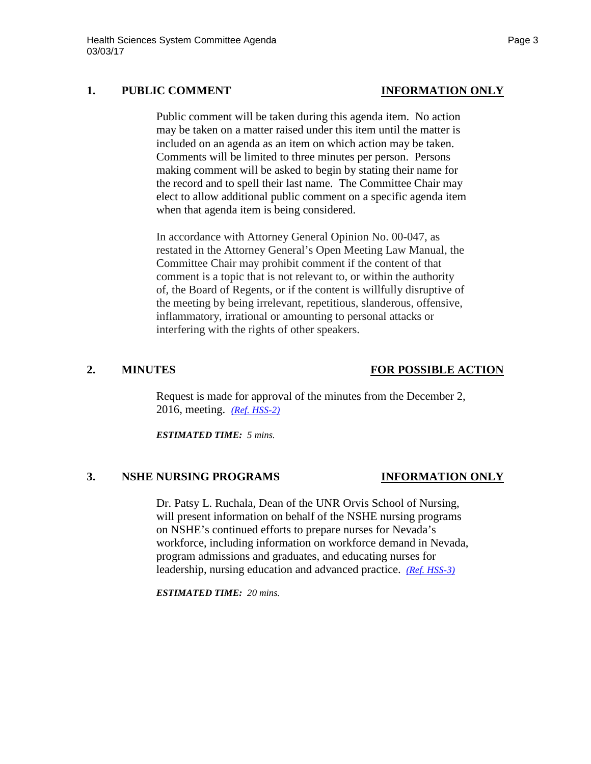## **1. PUBLIC COMMENT INFORMATION ONLY**

Public comment will be taken during this agenda item. No action may be taken on a matter raised under this item until the matter is included on an agenda as an item on which action may be taken. Comments will be limited to three minutes per person. Persons making comment will be asked to begin by stating their name for the record and to spell their last name. The Committee Chair may elect to allow additional public comment on a specific agenda item when that agenda item is being considered.

In accordance with Attorney General Opinion No. 00-047, as restated in the Attorney General's Open Meeting Law Manual, the Committee Chair may prohibit comment if the content of that comment is a topic that is not relevant to, or within the authority of, the Board of Regents, or if the content is willfully disruptive of the meeting by being irrelevant, repetitious, slanderous, offensive, inflammatory, irrational or amounting to personal attacks or interfering with the rights of other speakers.

## **2. MINUTES FOR POSSIBLE ACTION**

Request is made for approval of the minutes from the December 2, 2016, meeting. *[\(Ref. HSS-2\)](http://system.nevada.edu/tasks/sites/Nshe/assets/File/BoardOfRegents/Agendas/2017/mar-mtgs/hss-refs/HSS-2.pdf)*

*ESTIMATED TIME: 5 mins.*

## **3. NSHE NURSING PROGRAMS INFORMATION ONLY**

Dr. Patsy L. Ruchala, Dean of the UNR Orvis School of Nursing, will present information on behalf of the NSHE nursing programs on NSHE's continued efforts to prepare nurses for Nevada's workforce, including information on workforce demand in Nevada, program admissions and graduates, and educating nurses for leadership, nursing education and advanced practice. *(Ref. [HSS-3\)](http://system.nevada.edu/tasks/sites/Nshe/assets/File/BoardOfRegents/Agendas/2017/mar-mtgs/hss-refs/HSS-3.pdf)*

*ESTIMATED TIME: 20 mins.*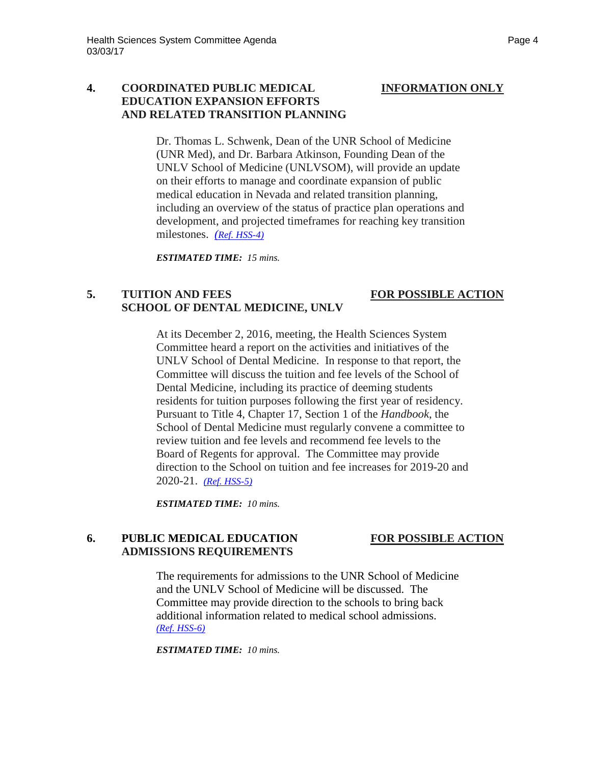## **4. COORDINATED PUBLIC MEDICAL INFORMATION ONLY EDUCATION EXPANSION EFFORTS AND RELATED TRANSITION PLANNING**

Dr. Thomas L. Schwenk, Dean of the UNR School of Medicine (UNR Med), and Dr. Barbara Atkinson, Founding Dean of the UNLV School of Medicine (UNLVSOM), will provide an update on their efforts to manage and coordinate expansion of public medical education in Nevada and related transition planning, including an overview of the status of practice plan operations and development, and projected timeframes for reaching key transition milestones. *[\(Ref. HSS-4\)](http://system.nevada.edu/tasks/sites/Nshe/assets/File/BoardOfRegents/Agendas/2017/mar-mtgs/hss-refs/HSS-4.pdf)*

*ESTIMATED TIME: 15 mins.*

# **5. TUITION AND FEES FOR POSSIBLE ACTION SCHOOL OF DENTAL MEDICINE, UNLV**

# At its December 2, 2016, meeting, the Health Sciences System Committee heard a report on the activities and initiatives of the UNLV School of Dental Medicine. In response to that report, the Committee will discuss the tuition and fee levels of the School of Dental Medicine, including its practice of deeming students residents for tuition purposes following the first year of residency.

Pursuant to Title 4, Chapter 17, Section 1 of the *Handbook*, the School of Dental Medicine must regularly convene a committee to review tuition and fee levels and recommend fee levels to the Board of Regents for approval. The Committee may provide direction to the School on tuition and fee increases for 2019-20 and 2020-21. *[\(Ref. HSS-5\)](http://system.nevada.edu/tasks/sites/Nshe/assets/File/BoardOfRegents/Agendas/2017/mar-mtgs/hss-refs/HSS-5.pdf)*

*ESTIMATED TIME: 10 mins.*

# **6. PUBLIC MEDICAL EDUCATION FOR POSSIBLE ACTION ADMISSIONS REQUIREMENTS**

The requirements for admissions to the UNR School of Medicine and the UNLV School of Medicine will be discussed. The Committee may provide direction to the schools to bring back additional information related to medical school admissions. *[\(Ref. HSS-6\)](http://system.nevada.edu/tasks/sites/Nshe/assets/File/BoardOfRegents/Agendas/2017/mar-mtgs/hss-refs/HSS-6.pdf)*

*ESTIMATED TIME: 10 mins.*